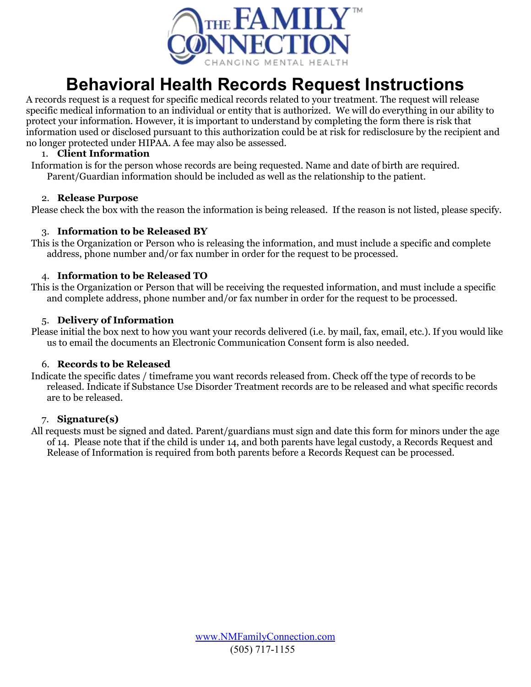

# **Behavioral Health Records Request Instructions**

A records request is a request for specific medical records related to your treatment. The request will release specific medical information to an individual or entity that is authorized. We will do everything in our ability to protect your information. However, it is important to understand by completing the form there is risk that information used or disclosed pursuant to this authorization could be at risk for redisclosure by the recipient and no longer protected under HIPAA. A fee may also be assessed.

#### 1. **Client Information**

Information is for the person whose records are being requested. Name and date of birth are required. Parent/Guardian information should be included as well as the relationship to the patient.

#### 2. **Release Purpose**

Please check the box with the reason the information is being released. If the reason is not listed, please specify.

## 3. **Information to be Released BY**

This is the Organization or Person who is releasing the information, and must include a specific and complete address, phone number and/or fax number in order for the request to be processed.

#### 4. **Information to be Released TO**

This is the Organization or Person that will be receiving the requested information, and must include a specific and complete address, phone number and/or fax number in order for the request to be processed.

#### 5. **Delivery of Information**

Please initial the box next to how you want your records delivered (i.e. by mail, fax, email, etc.). If you would like us to email the documents an Electronic Communication Consent form is also needed.

## 6. **Records to be Released**

Indicate the specific dates / timeframe you want records released from. Check off the type of records to be released. Indicate if Substance Use Disorder Treatment records are to be released and what specific records are to be released.

#### 7. **Signature(s)**

All requests must be signed and dated. Parent/guardians must sign and date this form for minors under the age of 14. Please note that if the child is under 14, and both parents have legal custody, a Records Request and Release of Information is required from both parents before a Records Request can be processed.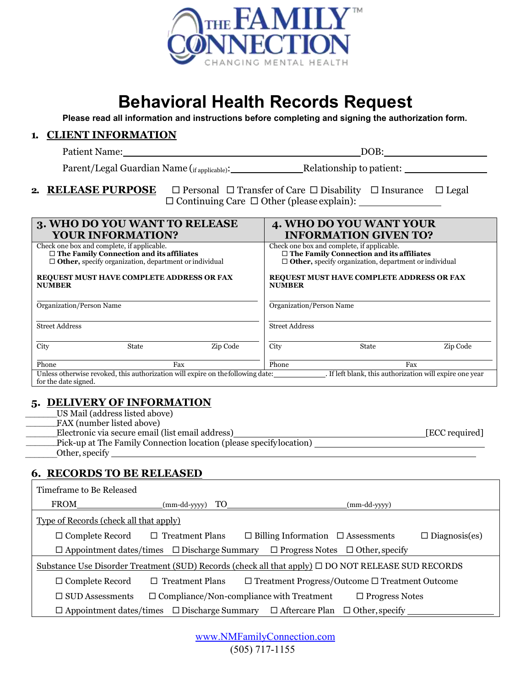

# **Behavioral Health Records Request**

**Please read all information and instructions before completing and signing the authorization form.** 

#### **1. CLIENT INFORMATION**

| DOB:<br>Patient Name: |  |
|-----------------------|--|
|-----------------------|--|

Parent/Legal Guardian Name (if applicable): Relationship to patient: \_\_\_\_\_\_\_\_\_\_\_

#### **2. RELEASE PURPOSE**  $\Box$  Personal  $\Box$  Transfer of Care  $\Box$  Disability  $\Box$  Insurance  $\Box$  Legal  $\Box$  Continuing Care  $\Box$  Other (please explain):  $\Box$

| 3. WHO DO YOU WANT TO RELEASE<br><b>YOUR INFORMATION?</b>                                                                                                     |                                                                                 |                                                                                                                                                               |                       | 4. WHO DO YOU WANT YOUR<br><b>INFORMATION GIVEN TO?</b>  |          |
|---------------------------------------------------------------------------------------------------------------------------------------------------------------|---------------------------------------------------------------------------------|---------------------------------------------------------------------------------------------------------------------------------------------------------------|-----------------------|----------------------------------------------------------|----------|
| Check one box and complete, if applicable.<br>$\Box$ The Family Connection and its affiliates<br>$\Box$ Other, specify organization, department or individual |                                                                                 | Check one box and complete, if applicable.<br>$\Box$ The Family Connection and its affiliates<br>$\Box$ Other, specify organization, department or individual |                       |                                                          |          |
| REQUEST MUST HAVE COMPLETE ADDRESS OR FAX<br><b>NUMBER</b>                                                                                                    |                                                                                 | REQUEST MUST HAVE COMPLETE ADDRESS OR FAX<br><b>NUMBER</b>                                                                                                    |                       |                                                          |          |
| Organization/Person Name                                                                                                                                      |                                                                                 | Organization/Person Name                                                                                                                                      |                       |                                                          |          |
| <b>Street Address</b>                                                                                                                                         |                                                                                 |                                                                                                                                                               | <b>Street Address</b> |                                                          |          |
| City                                                                                                                                                          | State                                                                           | Zip Code                                                                                                                                                      | City                  | State                                                    | Zip Code |
| Phone<br>Fax                                                                                                                                                  |                                                                                 | Phone                                                                                                                                                         |                       | Fax                                                      |          |
|                                                                                                                                                               | Unless otherwise revoked, this authorization will expire on the following date: |                                                                                                                                                               |                       | . If left blank, this authorization will expire one year |          |

for the date signed.

## **5. DELIVERY OF INFORMATION**

- US Mail (address listed above)  $\mathcal{L}=\mathcal{L}$
- FAX (number listed above)  $\mathcal{L}=\mathcal{L}$
- Electronic via secure email (list email address) [ECC required]  $\frac{1}{2}$

 Pick-up at The Family Connection location (please specify location)  $\mathcal{L}=\mathcal{L}$ 

 Other, specify  $\frac{1}{2}$ 

# **6. RECORDS TO BE RELEASED**

| Timeframe to Be Released                                                                                |                        |                                                                                                        |
|---------------------------------------------------------------------------------------------------------|------------------------|--------------------------------------------------------------------------------------------------------|
| FROM                                                                                                    | TO TO<br>(mm-dd-yyyy)  | (mm-dd-yyyy)                                                                                           |
| <b>Type of Records (check all that apply)</b>                                                           |                        |                                                                                                        |
| $\Box$ Complete Record                                                                                  | $\Box$ Treatment Plans | $\Box$ Diagnosis(es)<br>$\Box$ Billing Information $\Box$ Assessments                                  |
|                                                                                                         |                        | $\Box$ Appointment dates/times $\Box$ Discharge Summary $\Box$ Progress Notes $\Box$ Other, specify    |
| Substance Use Disorder Treatment (SUD) Records (check all that apply) $\Box$ DO NOT RELEASE SUD RECORDS |                        |                                                                                                        |
| $\Box$ Complete Record                                                                                  | $\Box$ Treatment Plans | $\Box$ Treatment Progress/Outcome $\Box$ Treatment Outcome                                             |
| $\Box$ SUD Assessments                                                                                  |                        | $\Box$ Compliance/Non-compliance with Treatment<br>$\Box$ Progress Notes                               |
|                                                                                                         |                        | $\Box$ Appointment dates/times $\Box$ Discharge Summary $\Box$ Aftercare Plan<br>$\Box$ Other, specify |

| www.NMFamilyConnection.com |
|----------------------------|
| $(505)$ 717-1155           |